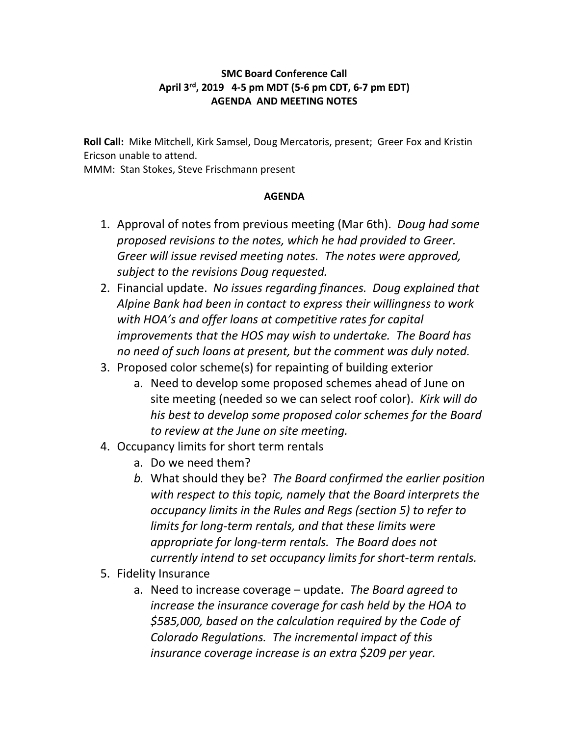## **SMC Board Conference Call April 3rd, 2019 4-5 pm MDT (5-6 pm CDT, 6-7 pm EDT) AGENDA AND MEETING NOTES**

**Roll Call:** Mike Mitchell, Kirk Samsel, Doug Mercatoris, present; Greer Fox and Kristin Ericson unable to attend.

MMM: Stan Stokes, Steve Frischmann present

## **AGENDA**

- 1. Approval of notes from previous meeting (Mar 6th). *Doug had some proposed revisions to the notes, which he had provided to Greer. Greer will issue revised meeting notes. The notes were approved, subject to the revisions Doug requested.*
- 2. Financial update. *No issues regarding finances. Doug explained that Alpine Bank had been in contact to express their willingness to work with HOA's and offer loans at competitive rates for capital improvements that the HOS may wish to undertake. The Board has no need of such loans at present, but the comment was duly noted.*
- 3. Proposed color scheme(s) for repainting of building exterior
	- a. Need to develop some proposed schemes ahead of June on site meeting (needed so we can select roof color). *Kirk will do his best to develop some proposed color schemes for the Board to review at the June on site meeting.*
- 4. Occupancy limits for short term rentals
	- a. Do we need them?
	- *b.* What should they be? *The Board confirmed the earlier position with respect to this topic, namely that the Board interprets the occupancy limits in the Rules and Regs (section 5) to refer to limits for long-term rentals, and that these limits were appropriate for long-term rentals. The Board does not currently intend to set occupancy limits for short-term rentals.*
- 5. Fidelity Insurance
	- a. Need to increase coverage update. *The Board agreed to increase the insurance coverage for cash held by the HOA to \$585,000, based on the calculation required by the Code of Colorado Regulations. The incremental impact of this insurance coverage increase is an extra \$209 per year.*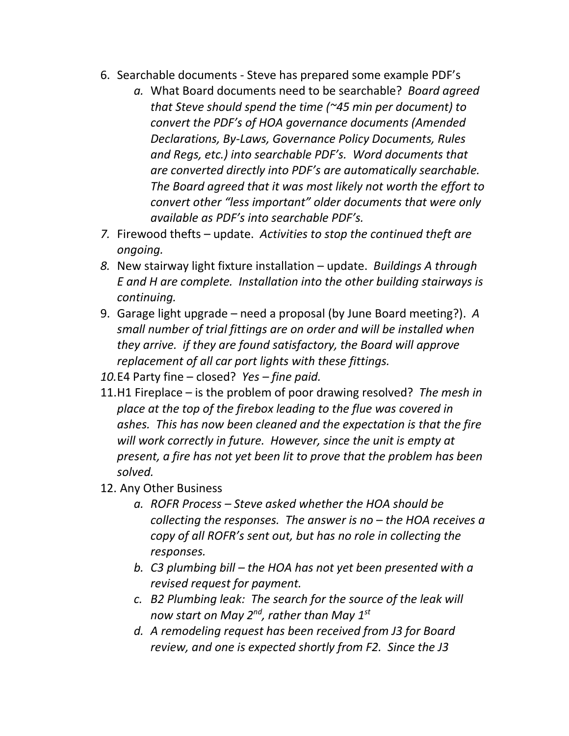- 6. Searchable documents Steve has prepared some example PDF's
	- *a.* What Board documents need to be searchable? *Board agreed that Steve should spend the time (~45 min per document) to convert the PDF's of HOA governance documents (Amended Declarations, By-Laws, Governance Policy Documents, Rules and Regs, etc.) into searchable PDF's. Word documents that are converted directly into PDF's are automatically searchable. The Board agreed that it was most likely not worth the effort to convert other "less important" older documents that were only available as PDF's into searchable PDF's.*
- *7.* Firewood thefts update. *Activities to stop the continued theft are ongoing.*
- *8.* New stairway light fixture installation update. *Buildings A through E and H are complete. Installation into the other building stairways is continuing.*
- 9. Garage light upgrade need a proposal (by June Board meeting?). *A small number of trial fittings are on order and will be installed when they arrive. if they are found satisfactory, the Board will approve replacement of all car port lights with these fittings.*
- *10.*E4 Party fine closed? *Yes – fine paid.*
- 11.H1 Fireplace is the problem of poor drawing resolved? *The mesh in place at the top of the firebox leading to the flue was covered in ashes. This has now been cleaned and the expectation is that the fire will work correctly in future. However, since the unit is empty at present, a fire has not yet been lit to prove that the problem has been solved.*
- 12. Any Other Business
	- *a. ROFR Process – Steve asked whether the HOA should be collecting the responses. The answer is no – the HOA receives a copy of all ROFR's sent out, but has no role in collecting the responses.*
	- *b. C3 plumbing bill – the HOA has not yet been presented with a revised request for payment.*
	- *c. B2 Plumbing leak: The search for the source of the leak will now start on May 2nd, rather than May 1st*
	- *d. A remodeling request has been received from J3 for Board review, and one is expected shortly from F2. Since the J3*